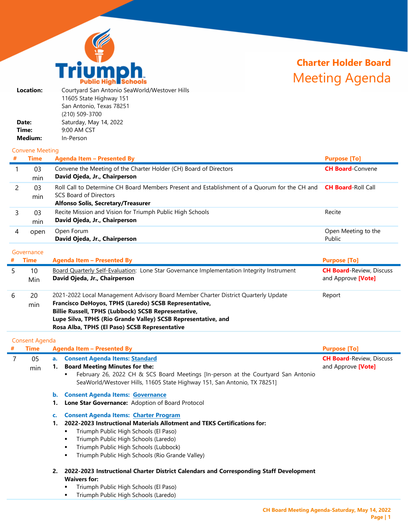

# **Charter Holder Board**  Meeting Agenda

| Location: | Courtyard San Antonio SeaWorld/Westover Hills |
|-----------|-----------------------------------------------|
|           | 11605 State Highway 151                       |
|           | San Antonio, Texas 78251                      |
|           | (210) 509-3700                                |
| Date:     | Saturday, May 14, 2022                        |
| Time:     | 9:00 AM CST                                   |
| Medium:   | In-Person                                     |
|           |                                               |

#### Convene Meeting

| #          | <b>Time</b> | <b>Agenda Item - Presented By</b>                                                                                                                                   | <b>Purpose [To]</b>                                          |
|------------|-------------|---------------------------------------------------------------------------------------------------------------------------------------------------------------------|--------------------------------------------------------------|
|            | 03<br>min   | Convene the Meeting of the Charter Holder (CH) Board of Directors<br>David Ojeda, Jr., Chairperson                                                                  | <b>CH Board-Convene</b>                                      |
|            | 03<br>min   | Roll Call to Determine CH Board Members Present and Establishment of a Quorum for the CH and<br><b>SCS Board of Directors</b><br>Alfonso Solis, Secretary/Treasurer | <b>CH Board-Roll Call</b>                                    |
| 3          | 03<br>min   | Recite Mission and Vision for Triumph Public High Schools<br>David Ojeda, Jr., Chairperson                                                                          | Recite                                                       |
| 4          | open        | Open Forum<br>David Ojeda, Jr., Chairperson                                                                                                                         | Open Meeting to the<br>Public                                |
| Governance |             |                                                                                                                                                                     |                                                              |
| #          | <b>Time</b> | <b>Agenda Item - Presented By</b>                                                                                                                                   | <b>Purpose [To]</b>                                          |
| 5          | 10<br>Min   | <b>Board Quarterly Self-Evaluation: Lone Star Governance Implementation Integrity Instrument</b><br>David Ojeda, Jr., Chairperson                                   | <b>CH Board-Review, Discuss</b><br>and Approve <b>[Vote]</b> |

| 20<br>min | 2021-2022 Local Management Advisory Board Member Charter District Quarterly Update<br>Francisco DeHoyos, TPHS (Laredo) SCSB Representative,<br>Billie Russell, TPHS (Lubbock) SCSB Representative,<br>Lupe Silva, TPHS (Rio Grande Valley) SCSB Representative, and<br>Rosa Alba, TPHS (El Paso) SCSB Representative | Report |
|-----------|----------------------------------------------------------------------------------------------------------------------------------------------------------------------------------------------------------------------------------------------------------------------------------------------------------------------|--------|
|           |                                                                                                                                                                                                                                                                                                                      |        |

|   | <b>Consent Agenda</b> |      |                                                                                   |                                 |
|---|-----------------------|------|-----------------------------------------------------------------------------------|---------------------------------|
| # | <b>Time</b>           |      | <b>Agenda Item - Presented By</b>                                                 | <b>Purpose [To]</b>             |
|   | 05                    | a. . | <b>Consent Agenda Items: Standard</b>                                             | <b>CH Board-Review, Discuss</b> |
|   | min                   |      | <b>Board Meeting Minutes for the:</b>                                             | and Approve [Vote]              |
|   |                       |      | February 26, 2022 CH & SCS Board Meetings [In-person at the Courtyard San Antonio |                                 |
|   |                       |      | SeaWorld/Westover Hills, 11605 State Highway 151, San Antonio, TX 78251]          |                                 |
|   |                       | b.   | <b>Consent Agenda Items: Governance</b>                                           |                                 |
|   |                       |      | <b>Lone Star Governance: Adoption of Board Protocol</b>                           |                                 |
|   |                       | C.   | <b>Consent Agenda Items: Charter Program</b>                                      |                                 |
|   |                       |      | 2022-2023 Instructional Materials Allotment and TEKS Certifications for:          |                                 |
|   |                       |      | Triumph Public High Schools (El Paso)                                             |                                 |
|   |                       |      | Triumph Public High Schools (Laredo)                                              |                                 |
|   |                       |      | - 로로 - South In The Fig. For Line and South In The County                         |                                 |

- Triumph Public High Schools (Lubbock)
- **Triumph Public High Schools (Rio Grande Valley)**
- **2. 2022-2023 Instructional Charter District Calendars and Corresponding Staff Development Waivers for:**
	- **Triumph Public High Schools (El Paso)**
	- **Triumph Public High Schools (Laredo)**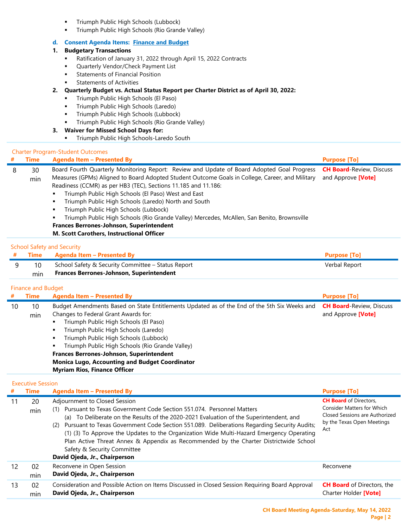- Triumph Public High Schools (Lubbock)
- Triumph Public High Schools (Rio Grande Valley)

## **d. Consent Agenda Items: Finance and Budget**

### **1. Budgetary Transactions**

- Ratification of January 31, 2022 through April 15, 2022 Contracts
- **Quarterly Vendor/Check Payment List**
- **Statements of Financial Position**
- Statements of Activities
- **2. Quarterly Budget vs. Actual Status Report per Charter District as of April 30, 2022:**
	- Triumph Public High Schools (El Paso)
	- **Triumph Public High Schools (Laredo)**
	- Triumph Public High Schools (Lubbock)
	- Triumph Public High Schools (Rio Grande Valley)

# **3. Waiver for Missed School Days for:**

**Triumph Public High Schools-Laredo South** 

#### Charter Program-Student Outcomes

min

**David Ojeda, Jr., Chairperson**

| #  | <b>Time</b>               | <b>Agenda Item - Presented By</b>                                                                                                                                                                                                                                                                                                                                                                                                                                                                                                                                                                                   | <b>Purpose [To]</b>                                   |
|----|---------------------------|---------------------------------------------------------------------------------------------------------------------------------------------------------------------------------------------------------------------------------------------------------------------------------------------------------------------------------------------------------------------------------------------------------------------------------------------------------------------------------------------------------------------------------------------------------------------------------------------------------------------|-------------------------------------------------------|
| 8  | 30<br>min                 | Board Fourth Quarterly Monitoring Report: Review and Update of Board Adopted Goal Progress<br>Measures (GPMs) Aligned to Board Adopted Student Outcome Goals in College, Career, and Military<br>Readiness (CCMR) as per HB3 (TEC), Sections 11.185 and 11.186:<br>Triumph Public High Schools (El Paso) West and East<br>٠<br>Triumph Public High Schools (Laredo) North and South<br>Triumph Public High Schools (Lubbock)<br>Triumph Public High Schools (Rio Grande Valley) Mercedes, McAllen, San Benito, Brownsville<br>Frances Berrones-Johnson, Superintendent<br>M. Scott Carothers, Instructional Officer | <b>CH Board-Review, Discuss</b><br>and Approve [Vote] |
|    |                           | <b>School Safety and Security</b>                                                                                                                                                                                                                                                                                                                                                                                                                                                                                                                                                                                   |                                                       |
|    | <b>Time</b>               | <b>Agenda Item - Presented By</b>                                                                                                                                                                                                                                                                                                                                                                                                                                                                                                                                                                                   | <b>Purpose [To]</b>                                   |
| 9  | 10<br>min                 | School Safety & Security Committee - Status Report<br>Frances Berrones-Johnson, Superintendent                                                                                                                                                                                                                                                                                                                                                                                                                                                                                                                      | Verbal Report                                         |
|    | <b>Finance and Budget</b> |                                                                                                                                                                                                                                                                                                                                                                                                                                                                                                                                                                                                                     |                                                       |
| #  | <b>Time</b>               | <b>Agenda Item - Presented By</b>                                                                                                                                                                                                                                                                                                                                                                                                                                                                                                                                                                                   | <b>Purpose [To]</b>                                   |
| 10 | 10                        | Budget Amendments Based on State Entitlements Updated as of the End of the 5th Six Weeks and                                                                                                                                                                                                                                                                                                                                                                                                                                                                                                                        | <b>CH Board-Review, Discuss</b>                       |
|    | min                       | Changes to Federal Grant Awards for:                                                                                                                                                                                                                                                                                                                                                                                                                                                                                                                                                                                | and Approve [Vote]                                    |
|    |                           | Triumph Public High Schools (El Paso)<br>п                                                                                                                                                                                                                                                                                                                                                                                                                                                                                                                                                                          |                                                       |
|    |                           | Triumph Public High Schools (Laredo)                                                                                                                                                                                                                                                                                                                                                                                                                                                                                                                                                                                |                                                       |
|    |                           | Triumph Public High Schools (Lubbock)                                                                                                                                                                                                                                                                                                                                                                                                                                                                                                                                                                               |                                                       |
|    |                           | Triumph Public High Schools (Rio Grande Valley)<br>Frances Berrones-Johnson, Superintendent                                                                                                                                                                                                                                                                                                                                                                                                                                                                                                                         |                                                       |
|    |                           | <b>Monica Lugo, Accounting and Budget Coordinator</b>                                                                                                                                                                                                                                                                                                                                                                                                                                                                                                                                                               |                                                       |
|    |                           | <b>Myriam Rios, Finance Officer</b>                                                                                                                                                                                                                                                                                                                                                                                                                                                                                                                                                                                 |                                                       |
|    | <b>Executive Session</b>  |                                                                                                                                                                                                                                                                                                                                                                                                                                                                                                                                                                                                                     |                                                       |
| #  | <b>Time</b>               | <b>Agenda Item - Presented By</b>                                                                                                                                                                                                                                                                                                                                                                                                                                                                                                                                                                                   | <b>Purpose [To]</b>                                   |
| 11 | 20                        | Adjournment to Closed Session                                                                                                                                                                                                                                                                                                                                                                                                                                                                                                                                                                                       | <b>CH Board</b> of Directors,                         |
|    | min                       | (1) Pursuant to Texas Government Code Section 551.074. Personnel Matters                                                                                                                                                                                                                                                                                                                                                                                                                                                                                                                                            | <b>Consider Matters for Which</b>                     |
|    |                           | (a) To Deliberate on the Results of the 2020-2021 Evaluation of the Superintendent, and                                                                                                                                                                                                                                                                                                                                                                                                                                                                                                                             | Closed Sessions are Authorized                        |
|    |                           | (2) Pursuant to Texas Government Code Section 551.089. Deliberations Regarding Security Audits;                                                                                                                                                                                                                                                                                                                                                                                                                                                                                                                     | by the Texas Open Meetings<br>Act                     |
|    |                           | (1) (3) To Approve the Updates to the Organization Wide Multi-Hazard Emergency Operating                                                                                                                                                                                                                                                                                                                                                                                                                                                                                                                            |                                                       |
|    |                           | Plan Active Threat Annex & Appendix as Recommended by the Charter Districtwide School                                                                                                                                                                                                                                                                                                                                                                                                                                                                                                                               |                                                       |
|    |                           | Safety & Security Committee                                                                                                                                                                                                                                                                                                                                                                                                                                                                                                                                                                                         |                                                       |
|    |                           | David Ojeda, Jr., Chairperson                                                                                                                                                                                                                                                                                                                                                                                                                                                                                                                                                                                       |                                                       |
| 12 | 02                        | Reconvene in Open Session                                                                                                                                                                                                                                                                                                                                                                                                                                                                                                                                                                                           | Reconvene                                             |
|    | min                       | David Ojeda, Jr., Chairperson                                                                                                                                                                                                                                                                                                                                                                                                                                                                                                                                                                                       |                                                       |
| 13 | 02                        | Consideration and Possible Action on Items Discussed in Closed Session Requiring Board Approval                                                                                                                                                                                                                                                                                                                                                                                                                                                                                                                     | <b>CH Board</b> of Directors, the                     |

Charter Holder **[Vote]**